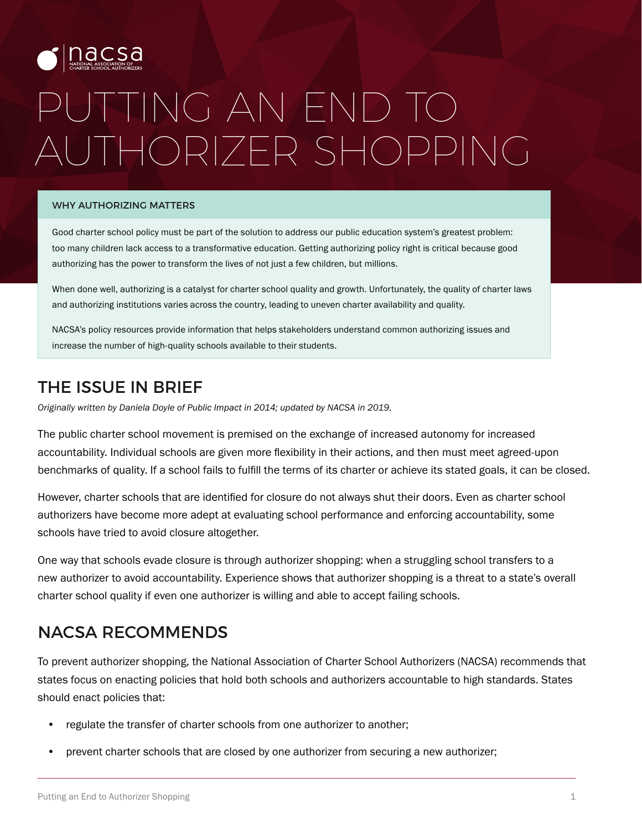

# PUTTING AN END TO AUTHORIZER SHOPPING

#### WHY AUTHORIZING MATTERS

Good charter school policy must be part of the solution to address our public education system's greatest problem: too many children lack access to a transformative education. Getting authorizing policy right is critical because good authorizing has the power to transform the lives of not just a few children, but millions.

When done well, authorizing is a catalyst for charter school quality and growth. Unfortunately, the quality of charter laws and authorizing institutions varies across the country, leading to uneven charter availability and quality.

NACSA's policy resources provide information that helps stakeholders understand common authorizing issues and increase the number of high-quality schools available to their students.

## THE ISSUE IN BRIEF

*Originally written by Daniela Doyle of Public Impact in 2014; updated by NACSA in 2019.*

The public charter school movement is premised on the exchange of increased autonomy for increased accountability. Individual schools are given more flexibility in their actions, and then must meet agreed-upon benchmarks of quality. If a school fails to fulfill the terms of its charter or achieve its stated goals, it can be closed.

However, charter schools that are identified for closure do not always shut their doors. Even as charter school authorizers have become more adept at evaluating school performance and enforcing accountability, some schools have tried to avoid closure altogether.

One way that schools evade closure is through authorizer shopping: when a struggling school transfers to a new authorizer to avoid accountability. Experience shows that authorizer shopping is a threat to a state's overall charter school quality if even one authorizer is willing and able to accept failing schools.

### NACSA RECOMMENDS

To prevent authorizer shopping, the National Association of Charter School Authorizers (NACSA) recommends that states focus on enacting policies that hold both schools and authorizers accountable to high standards. States should enact policies that:

- regulate the transfer of charter schools from one authorizer to another;
- prevent charter schools that are closed by one authorizer from securing a new authorizer;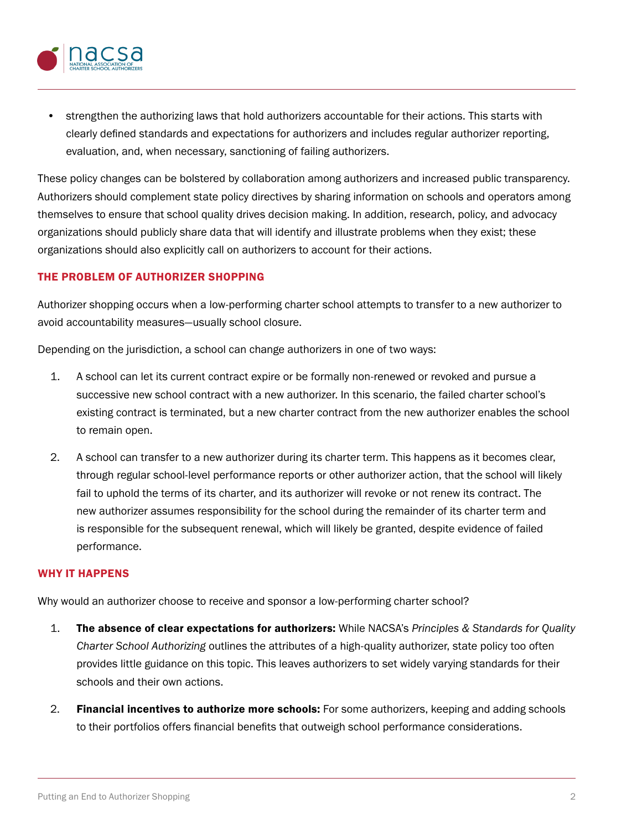

• strengthen the authorizing laws that hold authorizers accountable for their actions. This starts with clearly defined standards and expectations for authorizers and includes regular authorizer reporting, evaluation, and, when necessary, sanctioning of failing authorizers.

These policy changes can be bolstered by collaboration among authorizers and increased public transparency. Authorizers should complement state policy directives by sharing information on schools and operators among themselves to ensure that school quality drives decision making. In addition, research, policy, and advocacy organizations should publicly share data that will identify and illustrate problems when they exist; these organizations should also explicitly call on authorizers to account for their actions.

#### THE PROBLEM OF AUTHORIZER SHOPPING

Authorizer shopping occurs when a low-performing charter school attempts to transfer to a new authorizer to avoid accountability measures—usually school closure.

Depending on the jurisdiction, a school can change authorizers in one of two ways:

- 1. A school can let its current contract expire or be formally non-renewed or revoked and pursue a successive new school contract with a new authorizer. In this scenario, the failed charter school's existing contract is terminated, but a new charter contract from the new authorizer enables the school to remain open.
- 2. A school can transfer to a new authorizer during its charter term. This happens as it becomes clear, through regular school-level performance reports or other authorizer action, that the school will likely fail to uphold the terms of its charter, and its authorizer will revoke or not renew its contract. The new authorizer assumes responsibility for the school during the remainder of its charter term and is responsible for the subsequent renewal, which will likely be granted, despite evidence of failed performance.

#### WHY IT HAPPENS

Why would an authorizer choose to receive and sponsor a low-performing charter school?

- 1. The absence of clear expectations for authorizers: While NACSA's *Principles & Standards for Quality Charter School Authorizing* outlines the attributes of a high-quality authorizer, state policy too often provides little guidance on this topic. This leaves authorizers to set widely varying standards for their schools and their own actions.
- 2. Financial incentives to authorize more schools: For some authorizers, keeping and adding schools to their portfolios offers financial benefits that outweigh school performance considerations.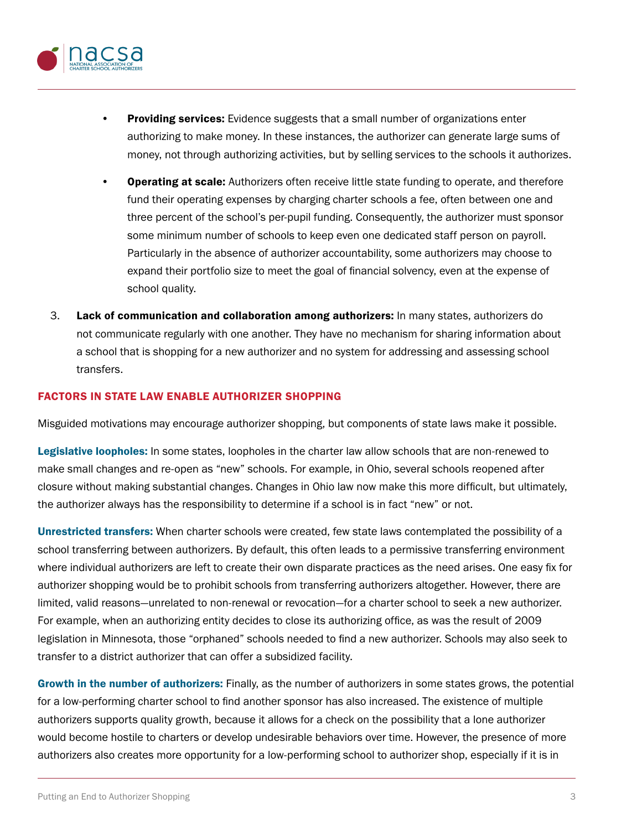

- Providing services: Evidence suggests that a small number of organizations enter authorizing to make money. In these instances, the authorizer can generate large sums of money, not through authorizing activities, but by selling services to the schools it authorizes.
- **Operating at scale:** Authorizers often receive little state funding to operate, and therefore fund their operating expenses by charging charter schools a fee, often between one and three percent of the school's per-pupil funding. Consequently, the authorizer must sponsor some minimum number of schools to keep even one dedicated staff person on payroll. Particularly in the absence of authorizer accountability, some authorizers may choose to expand their portfolio size to meet the goal of financial solvency, even at the expense of school quality.
- 3. Lack of communication and collaboration among authorizers: In many states, authorizers do not communicate regularly with one another. They have no mechanism for sharing information about a school that is shopping for a new authorizer and no system for addressing and assessing school transfers.

#### FACTORS IN STATE LAW ENABLE AUTHORIZER SHOPPING

Misguided motivations may encourage authorizer shopping, but components of state laws make it possible.

Legislative loopholes: In some states, loopholes in the charter law allow schools that are non-renewed to make small changes and re-open as "new" schools. For example, in Ohio, several schools reopened after closure without making substantial changes. Changes in Ohio law now make this more difficult, but ultimately, the authorizer always has the responsibility to determine if a school is in fact "new" or not.

Unrestricted transfers: When charter schools were created, few state laws contemplated the possibility of a school transferring between authorizers. By default, this often leads to a permissive transferring environment where individual authorizers are left to create their own disparate practices as the need arises. One easy fix for authorizer shopping would be to prohibit schools from transferring authorizers altogether. However, there are limited, valid reasons—unrelated to non-renewal or revocation—for a charter school to seek a new authorizer. For example, when an authorizing entity decides to close its authorizing office, as was the result of 2009 legislation in Minnesota, those "orphaned" schools needed to find a new authorizer. Schools may also seek to transfer to a district authorizer that can offer a subsidized facility.

Growth in the number of authorizers: Finally, as the number of authorizers in some states grows, the potential for a low-performing charter school to find another sponsor has also increased. The existence of multiple authorizers supports quality growth, because it allows for a check on the possibility that a lone authorizer would become hostile to charters or develop undesirable behaviors over time. However, the presence of more authorizers also creates more opportunity for a low-performing school to authorizer shop, especially if it is in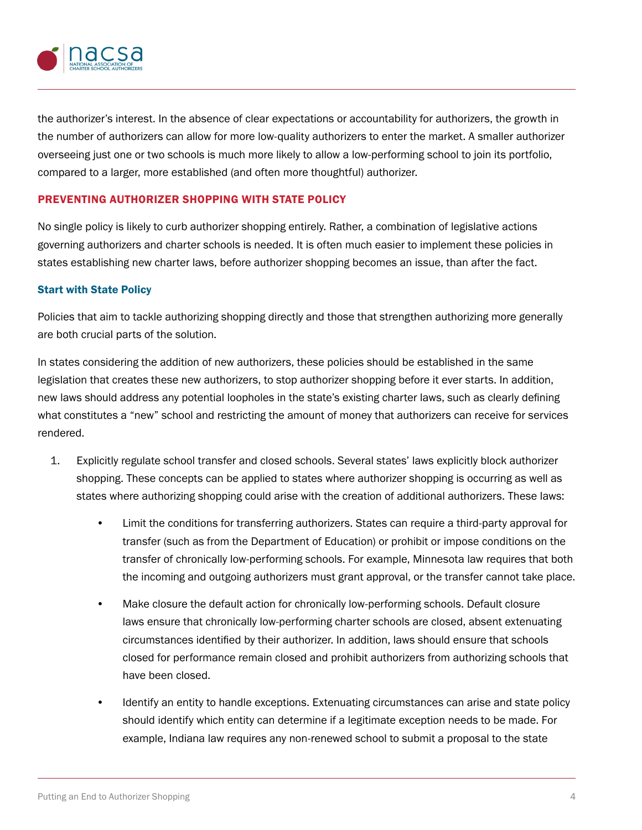

the authorizer's interest. In the absence of clear expectations or accountability for authorizers, the growth in the number of authorizers can allow for more low-quality authorizers to enter the market. A smaller authorizer overseeing just one or two schools is much more likely to allow a low-performing school to join its portfolio, compared to a larger, more established (and often more thoughtful) authorizer.

#### PREVENTING AUTHORIZER SHOPPING WITH STATE POLICY

No single policy is likely to curb authorizer shopping entirely. Rather, a combination of legislative actions governing authorizers and charter schools is needed. It is often much easier to implement these policies in states establishing new charter laws, before authorizer shopping becomes an issue, than after the fact.

#### Start with State Policy

Policies that aim to tackle authorizing shopping directly and those that strengthen authorizing more generally are both crucial parts of the solution.

In states considering the addition of new authorizers, these policies should be established in the same legislation that creates these new authorizers, to stop authorizer shopping before it ever starts. In addition, new laws should address any potential loopholes in the state's existing charter laws, such as clearly defining what constitutes a "new" school and restricting the amount of money that authorizers can receive for services rendered.

- 1. Explicitly regulate school transfer and closed schools. Several states' laws explicitly block authorizer shopping. These concepts can be applied to states where authorizer shopping is occurring as well as states where authorizing shopping could arise with the creation of additional authorizers. These laws:
	- Limit the conditions for transferring authorizers. States can require a third-party approval for transfer (such as from the Department of Education) or prohibit or impose conditions on the transfer of chronically low-performing schools. For example, Minnesota law requires that both the incoming and outgoing authorizers must grant approval, or the transfer cannot take place.
	- Make closure the default action for chronically low-performing schools. Default closure laws ensure that chronically low-performing charter schools are closed, absent extenuating circumstances identified by their authorizer. In addition, laws should ensure that schools closed for performance remain closed and prohibit authorizers from authorizing schools that have been closed.
	- Identify an entity to handle exceptions. Extenuating circumstances can arise and state policy should identify which entity can determine if a legitimate exception needs to be made. For example, Indiana law requires any non-renewed school to submit a proposal to the state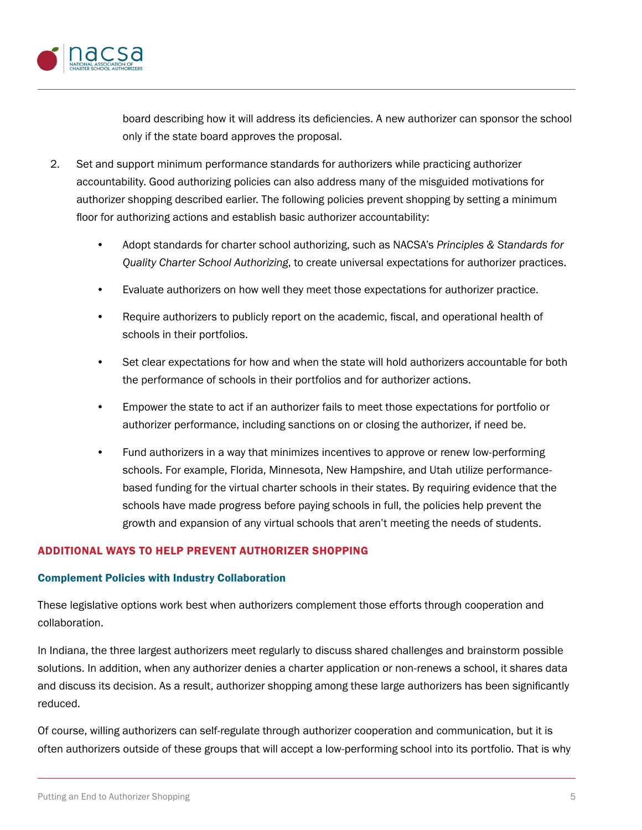

board describing how it will address its deficiencies. A new authorizer can sponsor the school only if the state board approves the proposal.

- 2. Set and support minimum performance standards for authorizers while practicing authorizer accountability. Good authorizing policies can also address many of the misguided motivations for authorizer shopping described earlier. The following policies prevent shopping by setting a minimum floor for authorizing actions and establish basic authorizer accountability:
	- Adopt standards for charter school authorizing, such as NACSA's *Principles & Standards for Quality Charter School Authorizing*, to create universal expectations for authorizer practices.
	- Evaluate authorizers on how well they meet those expectations for authorizer practice.
	- Require authorizers to publicly report on the academic, fiscal, and operational health of schools in their portfolios.
	- Set clear expectations for how and when the state will hold authorizers accountable for both the performance of schools in their portfolios and for authorizer actions.
	- Empower the state to act if an authorizer fails to meet those expectations for portfolio or authorizer performance, including sanctions on or closing the authorizer, if need be.
	- Fund authorizers in a way that minimizes incentives to approve or renew low-performing schools. For example, Florida, Minnesota, New Hampshire, and Utah utilize performancebased funding for the virtual charter schools in their states. By requiring evidence that the schools have made progress before paying schools in full, the policies help prevent the growth and expansion of any virtual schools that aren't meeting the needs of students.

#### ADDITIONAL WAYS TO HELP PREVENT AUTHORIZER SHOPPING

#### Complement Policies with Industry Collaboration

These legislative options work best when authorizers complement those efforts through cooperation and collaboration.

In Indiana, the three largest authorizers meet regularly to discuss shared challenges and brainstorm possible solutions. In addition, when any authorizer denies a charter application or non-renews a school, it shares data and discuss its decision. As a result, authorizer shopping among these large authorizers has been significantly reduced.

Of course, willing authorizers can self-regulate through authorizer cooperation and communication, but it is often authorizers outside of these groups that will accept a low-performing school into its portfolio. That is why